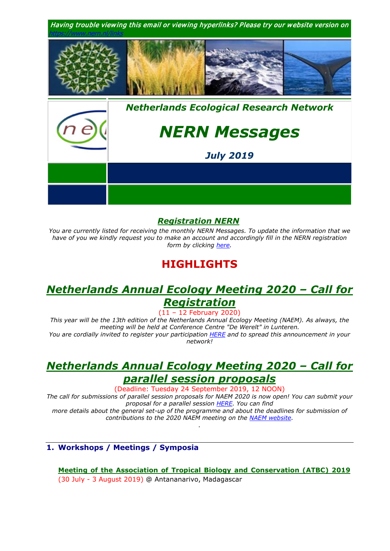

## *[Registration NERN](https://www.nern.nl/registration)*

*You are currently listed for receiving the monthly NERN Messages. To update the information that we have of you we kindly request you to make an account and accordingly fill in the NERN registration form by clicking [here.](https://www.nern.nl/register)*

# **HIGHLIGHTS**

# *[Netherlands Annual Ecology Meeting 2020 –](https://www.nern.nl/NAEM2020) Call for [Registration](https://www.nern.nl/NAEM2020)*

(11 – 12 February 2020)

*This year will be the 13th edition of the Netherlands Annual Ecology Meeting (NAEM). As always, the meeting will be held at Conference Centre "De Werelt" in Lunteren. You are cordially invited to register your participation [HERE](https://www.nern.nl/NAEM2020) and to spread this announcement in your network!*

# *Netherlands Annual Ecology Meeting 2020 – Call for parallel session proposals*

(Deadline: Tuesday 24 September 2019, 12 NOON)

*The call for submissions of parallel session proposals for NAEM 2020 is now open! You can submit your proposal for a parallel session [HERE.](https://www.nern.nl/proposals) You can find more details about the general set-up of the programme and about the deadlines for submission of* 

*contributions to the 2020 NAEM meeting on the [NAEM website.](https://www.nern.nl/NAEM2020) .*

## **1. Workshops / Meetings / Symposia**

**[Meeting of the Association of Tropical Biology and Conservation \(ATBC\) 2019](https://atbc2019.org/)** (30 July - 3 August 2019) @ Antananarivo, Madagascar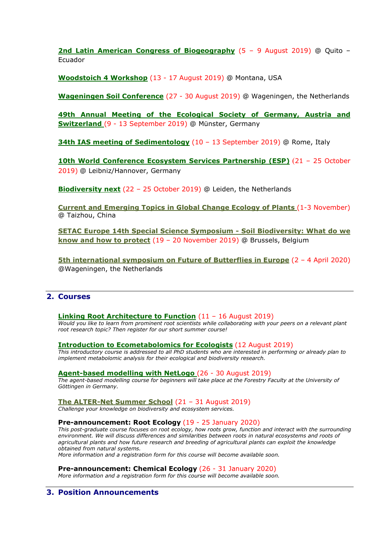**[2nd Latin American Congress of Biogeography](https://humboldt250-ecuador.org/)** (5 – 9 August 2019) @ Quito – Ecuador

**[Woodstoich 4 Workshop](https://www.nern.nl/sites/default/files/Woodstoich4_Advertisement.pdf)** (13 - 17 August 2019) @ Montana, USA

**[Wageningen Soil Conference](https://wageningensoilconference.eu/2019)** (27 - 30 August 2019) @ Wageningen, the Netherlands

**[49th Annual Meeting of the Ecological Society of Germany, Austria and](https://www.gfoe-conference.de/)  [Switzerland](https://www.gfoe-conference.de/)** (9 - 13 September 2019) @ Münster, Germany

**[34th IAS meeting of Sedimentology](http://iasroma2019.org/)** (10 - 13 September 2019) @ Rome, Italy

**[10th World Conference Ecosystem Services Partnership \(ESP\)](https://www.espconference.org/esp10)** (21 – 25 October 2019) @ Leibniz/Hannover, Germany

**[Biodiversity next](https://biodiversitynext.org/)** (22 – 25 October 2019) @ Leiden, the Netherlands

**[Current and Emerging Topics in Global Change Ecology of Plants](http://gcep.tzc.edu.cn/)** (1-3 November) @ Taizhou, China

**[SETAC Europe 14th Special Science Symposium -](https://sesss14.setac.org/) Soil Biodiversity: What do we [know and how to protect](https://sesss14.setac.org/)** (19 – 20 November 2019) @ Brussels, Belgium

**[5th international symposium on Future of Butterflies in Europe](https://www.vlinderstichting.nl/futureofbutterflies)** (2 – 4 April 2020) @Wageningen, the Netherlands

## **2. Courses**

#### **[Linking Root Architecture to Function](https://www.nern.nl/sites/default/files/AGR_CSRA_SummerRootShortCourseTV.jpg)** (11 – 16 August 2019)

*Would you like to learn from prominent root scientists while collaborating with your peers on a relevant plant root research topic? Then register for our short summer course!*

**[Introduction to Ecometabolomics for Ecologists](https://www.nern.nl/sites/default/files/Invitation%20course%20Introduction%20Ecometabolomics.pdf)** (12 August 2019)

*This introductory course is addressed to all PhD students who are interested in performing or already plan to implement metabolomic analysis for their ecological and biodiversity research.*

#### **Agent-based [modelling with NetLogo](http://www.uni-goettingen.de/en/578697.html)** (26 - 30 August 2019)

*The agent-based modelling course for beginners will take place at the Forestry Faculty at the University of Göttingen in Germany.*

**[The ALTER-Net Summer School](http://www.alter-net.info/summer-school)** (21 – 31 August 2019)

*Challenge your knowledge on biodiversity and ecosystem services.*

#### **Pre-announcement: Root Ecology** (19 - 25 January 2020)

*This post-graduate course focuses on root ecology, how roots grow, function and interact with the surrounding environment. We will discuss differences and similarities between roots in natural ecosystems and roots of agricultural plants and how future research and breeding of agricultural plants can exploit the knowledge obtained from natural systems.* 

*More information and a registration form for this course will become available soon.*

**Pre-announcement: Chemical Ecology** (26 - 31 January 2020)

*More information and a registration form for this course will become available soon.*

## **3. Position Announcements**